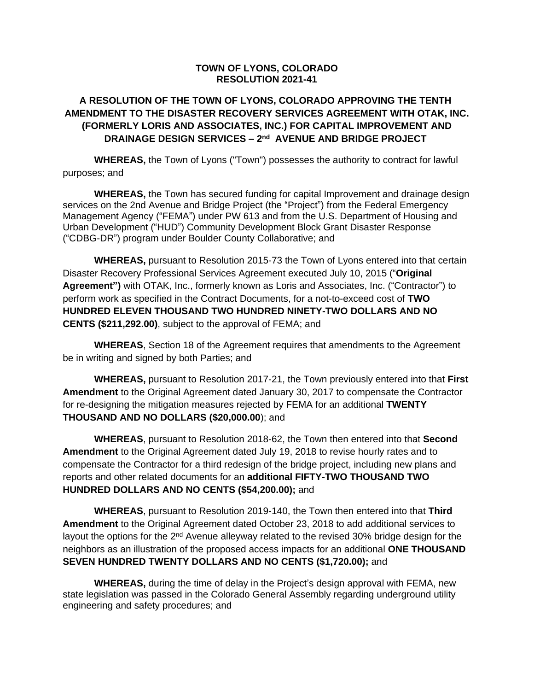#### **TOWN OF LYONS, COLORADO RESOLUTION 2021-41**

### **A RESOLUTION OF THE TOWN OF LYONS, COLORADO APPROVING THE TENTH AMENDMENT TO THE DISASTER RECOVERY SERVICES AGREEMENT WITH OTAK, INC. (FORMERLY LORIS AND ASSOCIATES, INC.) FOR CAPITAL IMPROVEMENT AND DRAINAGE DESIGN SERVICES – 2 nd AVENUE AND BRIDGE PROJECT**

**WHEREAS,** the Town of Lyons ("Town") possesses the authority to contract for lawful purposes; and

**WHEREAS,** the Town has secured funding for capital Improvement and drainage design services on the 2nd Avenue and Bridge Project (the "Project") from the Federal Emergency Management Agency ("FEMA") under PW 613 and from the U.S. Department of Housing and Urban Development ("HUD") Community Development Block Grant Disaster Response ("CDBG-DR") program under Boulder County Collaborative; and

**WHEREAS,** pursuant to Resolution 2015-73 the Town of Lyons entered into that certain Disaster Recovery Professional Services Agreement executed July 10, 2015 ("**Original Agreement")** with OTAK, Inc., formerly known as Loris and Associates, Inc. ("Contractor") to perform work as specified in the Contract Documents, for a not-to-exceed cost of **TWO HUNDRED ELEVEN THOUSAND TWO HUNDRED NINETY-TWO DOLLARS AND NO CENTS (\$211,292.00)**, subject to the approval of FEMA; and

**WHEREAS**, Section 18 of the Agreement requires that amendments to the Agreement be in writing and signed by both Parties; and

**WHEREAS,** pursuant to Resolution 2017-21, the Town previously entered into that **First Amendment** to the Original Agreement dated January 30, 2017 to compensate the Contractor for re-designing the mitigation measures rejected by FEMA for an additional **TWENTY THOUSAND AND NO DOLLARS (\$20,000.00**); and

**WHEREAS**, pursuant to Resolution 2018-62, the Town then entered into that **Second Amendment** to the Original Agreement dated July 19, 2018 to revise hourly rates and to compensate the Contractor for a third redesign of the bridge project, including new plans and reports and other related documents for an **additional FIFTY-TWO THOUSAND TWO HUNDRED DOLLARS AND NO CENTS (\$54,200.00);** and

**WHEREAS**, pursuant to Resolution 2019-140, the Town then entered into that **Third Amendment** to the Original Agreement dated October 23, 2018 to add additional services to layout the options for the  $2<sup>nd</sup>$  Avenue alleyway related to the revised 30% bridge design for the neighbors as an illustration of the proposed access impacts for an additional **ONE THOUSAND SEVEN HUNDRED TWENTY DOLLARS AND NO CENTS (\$1,720.00);** and

**WHEREAS,** during the time of delay in the Project's design approval with FEMA, new state legislation was passed in the Colorado General Assembly regarding underground utility engineering and safety procedures; and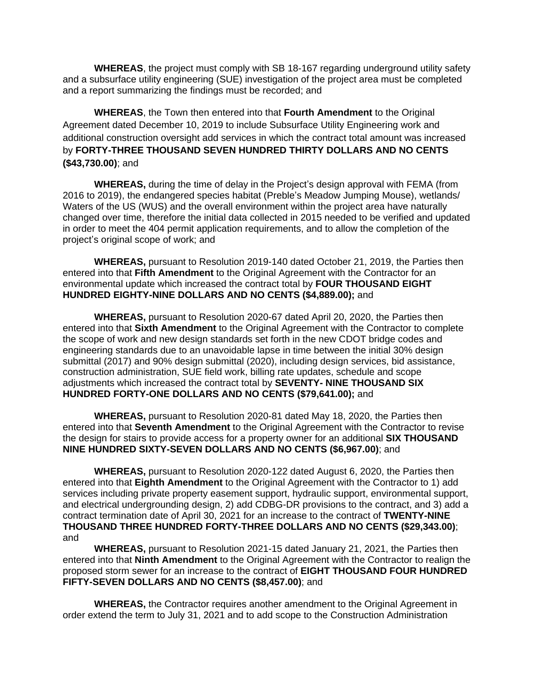**WHEREAS**, the project must comply with SB 18-167 regarding underground utility safety and a subsurface utility engineering (SUE) investigation of the project area must be completed and a report summarizing the findings must be recorded; and

**WHEREAS**, the Town then entered into that **Fourth Amendment** to the Original Agreement dated December 10, 2019 to include Subsurface Utility Engineering work and additional construction oversight add services in which the contract total amount was increased by **FORTY-THREE THOUSAND SEVEN HUNDRED THIRTY DOLLARS AND NO CENTS (\$43,730.00)**; and

**WHEREAS,** during the time of delay in the Project's design approval with FEMA (from 2016 to 2019), the endangered species habitat (Preble's Meadow Jumping Mouse), wetlands/ Waters of the US (WUS) and the overall environment within the project area have naturally changed over time, therefore the initial data collected in 2015 needed to be verified and updated in order to meet the 404 permit application requirements, and to allow the completion of the project's original scope of work; and

**WHEREAS,** pursuant to Resolution 2019-140 dated October 21, 2019, the Parties then entered into that **Fifth Amendment** to the Original Agreement with the Contractor for an environmental update which increased the contract total by **FOUR THOUSAND EIGHT HUNDRED EIGHTY-NINE DOLLARS AND NO CENTS (\$4,889.00);** and

**WHEREAS,** pursuant to Resolution 2020-67 dated April 20, 2020, the Parties then entered into that **Sixth Amendment** to the Original Agreement with the Contractor to complete the scope of work and new design standards set forth in the new CDOT bridge codes and engineering standards due to an unavoidable lapse in time between the initial 30% design submittal (2017) and 90% design submittal (2020), including design services, bid assistance, construction administration, SUE field work, billing rate updates, schedule and scope adjustments which increased the contract total by **SEVENTY- NINE THOUSAND SIX HUNDRED FORTY-ONE DOLLARS AND NO CENTS (\$79,641.00);** and

**WHEREAS,** pursuant to Resolution 2020-81 dated May 18, 2020, the Parties then entered into that **Seventh Amendment** to the Original Agreement with the Contractor to revise the design for stairs to provide access for a property owner for an additional **SIX THOUSAND NINE HUNDRED SIXTY-SEVEN DOLLARS AND NO CENTS (\$6,967.00)**; and

**WHEREAS,** pursuant to Resolution 2020-122 dated August 6, 2020, the Parties then entered into that **Eighth Amendment** to the Original Agreement with the Contractor to 1) add services including private property easement support, hydraulic support, environmental support, and electrical undergrounding design, 2) add CDBG-DR provisions to the contract, and 3) add a contract termination date of April 30, 2021 for an increase to the contract of **TWENTY-NINE THOUSAND THREE HUNDRED FORTY-THREE DOLLARS AND NO CENTS (\$29,343.00)**; and

**WHEREAS,** pursuant to Resolution 2021-15 dated January 21, 2021, the Parties then entered into that **Ninth Amendment** to the Original Agreement with the Contractor to realign the proposed storm sewer for an increase to the contract of **EIGHT THOUSAND FOUR HUNDRED FIFTY-SEVEN DOLLARS AND NO CENTS (\$8,457.00)**; and

**WHEREAS,** the Contractor requires another amendment to the Original Agreement in order extend the term to July 31, 2021 and to add scope to the Construction Administration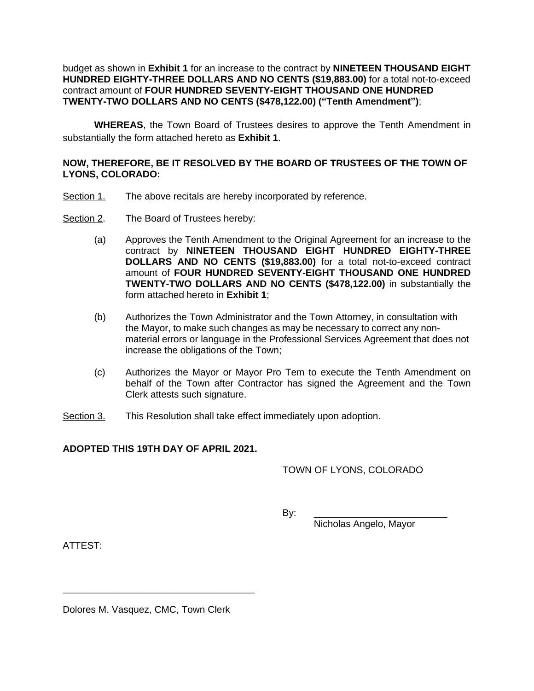#### budget as shown in **Exhibit 1** for an increase to the contract by **NINETEEN THOUSAND EIGHT HUNDRED EIGHTY-THREE DOLLARS AND NO CENTS (\$19,883.00)** for a total not-to-exceed contract amount of **FOUR HUNDRED SEVENTY-EIGHT THOUSAND ONE HUNDRED TWENTY-TWO DOLLARS AND NO CENTS (\$478,122.00) ("Tenth Amendment")**;

**WHEREAS**, the Town Board of Trustees desires to approve the Tenth Amendment in substantially the form attached hereto as **Exhibit 1**.

#### **NOW, THEREFORE, BE IT RESOLVED BY THE BOARD OF TRUSTEES OF THE TOWN OF LYONS, COLORADO:**

- Section 1. The above recitals are hereby incorporated by reference.
- Section 2. The Board of Trustees hereby:
	- (a) Approves the Tenth Amendment to the Original Agreement for an increase to the contract by **NINETEEN THOUSAND EIGHT HUNDRED EIGHTY-THREE DOLLARS AND NO CENTS (\$19,883.00)** for a total not-to-exceed contract amount of **FOUR HUNDRED SEVENTY-EIGHT THOUSAND ONE HUNDRED TWENTY-TWO DOLLARS AND NO CENTS (\$478,122.00)** in substantially the form attached hereto in **Exhibit 1**;
	- (b) Authorizes the Town Administrator and the Town Attorney, in consultation with the Mayor, to make such changes as may be necessary to correct any nonmaterial errors or language in the Professional Services Agreement that does not increase the obligations of the Town;
	- (c) Authorizes the Mayor or Mayor Pro Tem to execute the Tenth Amendment on behalf of the Town after Contractor has signed the Agreement and the Town Clerk attests such signature.
- Section 3. This Resolution shall take effect immediately upon adoption.

#### **ADOPTED THIS 19TH DAY OF APRIL 2021.**

#### TOWN OF LYONS, COLORADO

By: \_\_\_\_\_\_\_\_\_\_\_\_\_\_\_\_\_\_\_\_\_\_\_\_\_

Nicholas Angelo, Mayor

ATTEST:

Dolores M. Vasquez, CMC, Town Clerk

\_\_\_\_\_\_\_\_\_\_\_\_\_\_\_\_\_\_\_\_\_\_\_\_\_\_\_\_\_\_\_\_\_\_\_\_